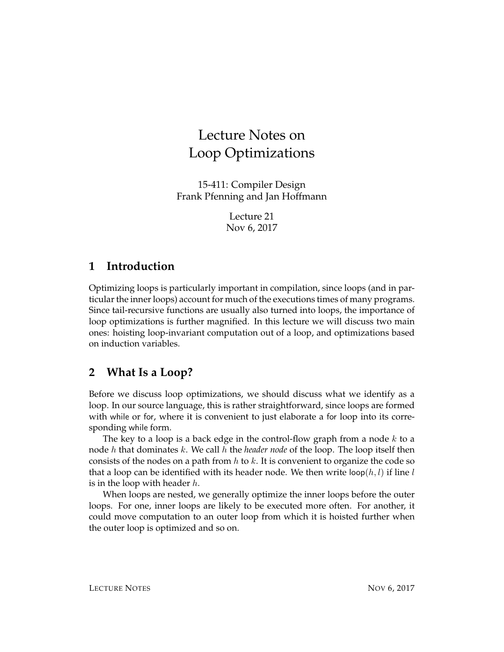# Lecture Notes on Loop Optimizations

15-411: Compiler Design Frank Pfenning and Jan Hoffmann

> Lecture 21 Nov 6, 2017

#### **1 Introduction**

Optimizing loops is particularly important in compilation, since loops (and in particular the inner loops) account for much of the executions times of many programs. Since tail-recursive functions are usually also turned into loops, the importance of loop optimizations is further magnified. In this lecture we will discuss two main ones: hoisting loop-invariant computation out of a loop, and optimizations based on induction variables.

### **2 What Is a Loop?**

Before we discuss loop optimizations, we should discuss what we identify as a loop. In our source language, this is rather straightforward, since loops are formed with while or for, where it is convenient to just elaborate a for loop into its corresponding while form.

The key to a loop is a back edge in the control-flow graph from a node  $k$  to a node h that dominates k. We call h the *header node* of the loop. The loop itself then consists of the nodes on a path from  $h$  to  $k$ . It is convenient to organize the code so that a loop can be identified with its header node. We then write loop $(h, l)$  if line l is in the loop with header  $h$ .

When loops are nested, we generally optimize the inner loops before the outer loops. For one, inner loops are likely to be executed more often. For another, it could move computation to an outer loop from which it is hoisted further when the outer loop is optimized and so on.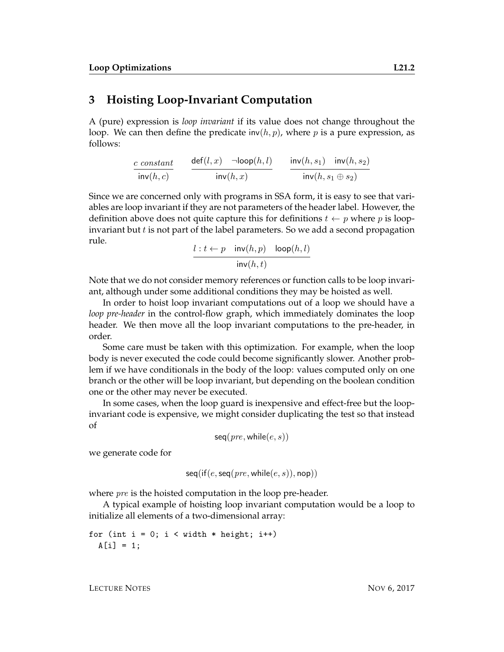#### **3 Hoisting Loop-Invariant Computation**

A (pure) expression is *loop invariant* if its value does not change throughout the loop. We can then define the predicate  $\text{inv}(h, p)$ , where p is a pure expression, as follows:

$$
\frac{c \; constant}{\mathsf{inv}(h,c)} \qquad \frac{\mathsf{def}(l,x) \quad \mathsf{--loop}(h,l)}{\mathsf{inv}(h,x)} \qquad \frac{\mathsf{inv}(h,s_1) \quad \mathsf{inv}(h,s_2)}{\mathsf{inv}(h,s_1 \oplus s_2)}
$$

Since we are concerned only with programs in SSA form, it is easy to see that variables are loop invariant if they are not parameters of the header label. However, the definition above does not quite capture this for definitions  $t \leftarrow p$  where p is loopinvariant but  $t$  is not part of the label parameters. So we add a second propagation rule.

$$
\frac{l: t \leftarrow p \quad \text{inv}(h, p) \quad \text{loop}(h, l)}{\text{inv}(h, t)}
$$

Note that we do not consider memory references or function calls to be loop invariant, although under some additional conditions they may be hoisted as well.

In order to hoist loop invariant computations out of a loop we should have a *loop pre-header* in the control-flow graph, which immediately dominates the loop header. We then move all the loop invariant computations to the pre-header, in order.

Some care must be taken with this optimization. For example, when the loop body is never executed the code could become significantly slower. Another problem if we have conditionals in the body of the loop: values computed only on one branch or the other will be loop invariant, but depending on the boolean condition one or the other may never be executed.

In some cases, when the loop guard is inexpensive and effect-free but the loopinvariant code is expensive, we might consider duplicating the test so that instead of

$$
seq(\text{pre}, \text{while}(e, s))
$$

we generate code for

$$
seq(if(e, seq(pre, while(e, s)), \text{nop}))
$$

where *pre* is the hoisted computation in the loop pre-header.

A typical example of hoisting loop invariant computation would be a loop to initialize all elements of a two-dimensional array:

for (int i = 0; i < width \* height; i++)\n
$$
A[i] = 1;
$$

LECTURE NOTES NOTES NOW 6, 2017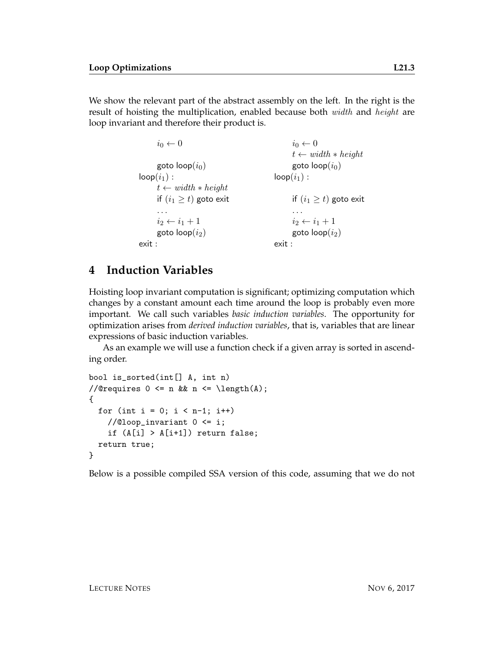We show the relevant part of the abstract assembly on the left. In the right is the result of hoisting the multiplication, enabled because both *width* and *height* are loop invariant and therefore their product is.

```
i_0 \leftarrow 0 i_0 \leftarrow 0t \leftarrow width * heightgoto \text{loop}(i_0) goto \text{loop}(i_0)\textsf{loop}(i_1): \textsf{loop}(i_1):t \leftarrow width * heightif (i_1 \geq t) goto exit if (i_1 \geq t) goto exit
    . . . . . .
   i_2 \leftarrow i_1 + 1 i_2 \leftarrow i_1 + 1goto \text{loop}(i_2) goto \text{loop}(i_2)exit : exit :
```
## **4 Induction Variables**

Hoisting loop invariant computation is significant; optimizing computation which changes by a constant amount each time around the loop is probably even more important. We call such variables *basic induction variables*. The opportunity for optimization arises from *derived induction variables*, that is, variables that are linear expressions of basic induction variables.

As an example we will use a function check if a given array is sorted in ascending order.

```
bool is_sorted(int[] A, int n)
//@requires 0 \leq n & n \leq \operatorname{length}(A);
{
  for (int i = 0; i < n-1; i++)//@loop_invariant 0 <= i;
    if (A[i] > A[i+1]) return false;
  return true;
}
```
Below is a possible compiled SSA version of this code, assuming that we do not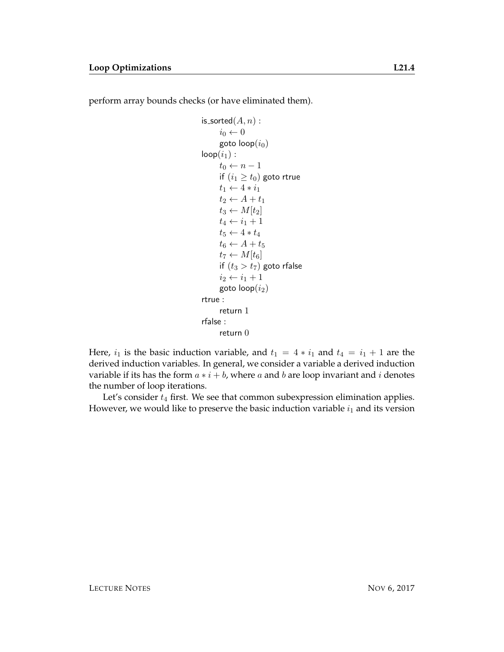perform array bounds checks (or have eliminated them).

```
is_sorted(A, n) :
      i_0 \leftarrow 0goto loop(i_0)loop(i_1):
      t_0 \leftarrow n-1if (i_1 \geq t_0) goto rtrue
      t_1 \leftarrow 4 * i_1t_2 \leftarrow A + t_1t_3 \leftarrow M[t_2]t_4 \leftarrow i_1 + 1t_5 \leftarrow 4 * t_4t_6 \leftarrow A + t_5t_7 \leftarrow M[t_6]if (t_3 > t_7) goto rfalse
      i_2 \leftarrow i_1 + 1goto loop(i_2)rtrue :
      return 1
rfalse :
      return 0
```
Here,  $i_1$  is the basic induction variable, and  $t_1 = 4 * i_1$  and  $t_4 = i_1 + 1$  are the derived induction variables. In general, we consider a variable a derived induction variable if its has the form  $a * i + b$ , where a and b are loop invariant and i denotes the number of loop iterations.

Let's consider  $t_4$  first. We see that common subexpression elimination applies. However, we would like to preserve the basic induction variable  $i_1$  and its version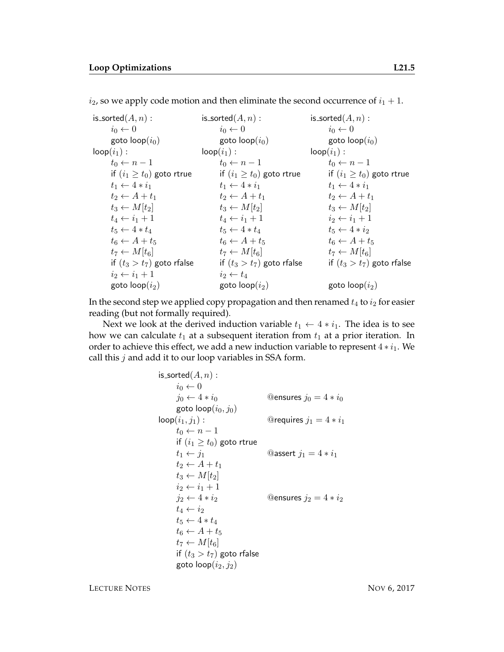$i_2$ , so we apply code motion and then eliminate the second occurrence of  $i_1 + 1$ .

| is_sorted $(A, n)$ :           | is_sorted $(A, n)$ :           | is_sorted $(A, n)$ :           |
|--------------------------------|--------------------------------|--------------------------------|
| $i_0 \leftarrow 0$             | $i_0 \leftarrow 0$             | $i_0 \leftarrow 0$             |
| goto $loop(i_0)$               | goto $loop(i_0)$               | goto $loop(i_0)$               |
| $loop(i_1):$                   | $loop(i_1):$                   | $loop(i_1):$                   |
| $t_0 \leftarrow n-1$           | $t_0 \leftarrow n-1$           | $t_0 \leftarrow n-1$           |
| if $(i_1 \geq t_0)$ goto rtrue | if $(i_1 \geq t_0)$ goto rtrue | if $(i_1 \geq t_0)$ goto rtrue |
| $t_1 \leftarrow 4*i_1$         | $t_1 \leftarrow 4*i_1$         | $t_1 \leftarrow 4*i_1$         |
| $t_2 \leftarrow A + t_1$       | $t_2 \leftarrow A + t_1$       | $t_2 \leftarrow A + t_1$       |
| $t_3 \leftarrow M[t_2]$        | $t_3 \leftarrow M[t_2]$        | $t_3 \leftarrow M[t_2]$        |
| $t_4 \leftarrow i_1 + 1$       | $t_4 \leftarrow i_1 + 1$       | $i_2 \leftarrow i_1 + 1$       |
| $t_5 \leftarrow 4 * t_4$       | $t_5 \leftarrow 4 * t_4$       | $t_5 \leftarrow 4 * i_2$       |
| $t_6 \leftarrow A + t_5$       | $t_6 \leftarrow A + t_5$       | $t_6 \leftarrow A + t_5$       |
| $t_7 \leftarrow M[t_6]$        | $t_7 \leftarrow M[t_6]$        | $t_7 \leftarrow M[t_6]$        |
| if $(t_3 > t_7)$ goto rfalse   | if $(t_3 > t_7)$ goto rfalse   | if $(t_3 > t_7)$ goto rfalse   |
| $i_2 \leftarrow i_1 + 1$       | $i_2 \leftarrow t_4$           |                                |
| goto $loop(i_2)$               | goto $loop(i_2)$               | goto $loop(i_2)$               |
|                                |                                |                                |

In the second step we applied copy propagation and then renamed  $t_4$  to  $i_2$  for easier reading (but not formally required).

Next we look at the derived induction variable  $t_1 \leftarrow 4 * i_1$ . The idea is to see how we can calculate  $t_1$  at a subsequent iteration from  $t_1$  at a prior iteration. In order to achieve this effect, we add a new induction variable to represent  $4 * i_1$ . We call this  $j$  and add it to our loop variables in SSA form.

```
is_sorted(A, n) :
     i_0 \leftarrow 0j_0 \leftarrow 4 * i_0 @ensures j_0 = 4 * i_0goto \text{loop}(i_0, j_0)loop(i_1, j_1): @requires j_1 = 4 * i_1t_0 \leftarrow n-1if (i_1 \geq t_0) goto rtrue
     t_1 \leftarrow j_1 @assert j_1 = 4 * i_1t_2 \leftarrow A + t_1t_3 \leftarrow M[t_2]i_2 \leftarrow i_1 + 1j_2 \leftarrow 4 * i_2 @ensures j_2 = 4 * i_2t_4 \leftarrow i_2t_5 \leftarrow 4 * t_4t_6 \leftarrow A + t_5t_7 \leftarrow M[t_6]if (t_3 > t_7) goto rfalse
      goto loop(i_2, j_2)
```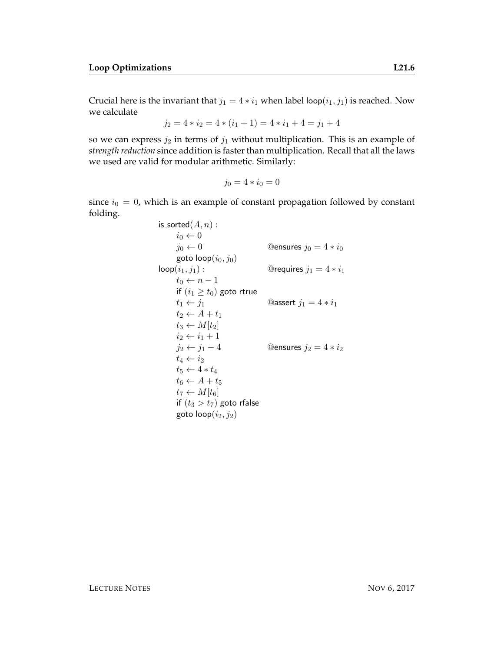Crucial here is the invariant that  $j_1 = 4 * i_1$  when label loop $(i_1, j_1)$  is reached. Now we calculate

$$
j_2 = 4 \times i_2 = 4 \times (i_1 + 1) = 4 \times i_1 + 4 = j_1 + 4
$$

so we can express  $j_2$  in terms of  $j_1$  without multiplication. This is an example of *strength reduction* since addition is faster than multiplication. Recall that all the laws we used are valid for modular arithmetic. Similarly:

$$
j_0=4*i_0=0
$$

since  $i_0 = 0$ , which is an example of constant propagation followed by constant folding.

> is\_sorted $(A, n)$  :  $i_0 \leftarrow 0$  $j_0 \leftarrow 0$  @ensures  $j_0 = 4 * i_0$ goto  $\mathsf{loop}(i_0, j_0)$  $\text{loop}(i_1, j_1):$  @requires  $j_1 = 4 * i_1$  $t_0 \leftarrow n-1$ if  $(i_1 \geq t_0)$  goto rtrue  $t_1 \leftarrow j_1$  @assert  $j_1 = 4 * i_1$  $t_2 \leftarrow A + t_1$  $t_3 \leftarrow M[t_2]$  $i_2 \leftarrow i_1 + 1$  $j_2 \leftarrow j_1 + 4$  @ensures  $j_2 = 4 * i_2$  $t_4 \leftarrow i_2$  $t_5 \leftarrow 4 * t_4$  $t_6 \leftarrow A + t_5$  $t_7 \leftarrow M[t_6]$ if  $(t_3 > t_7)$  goto rfalse goto  $loop(i_2, j_2)$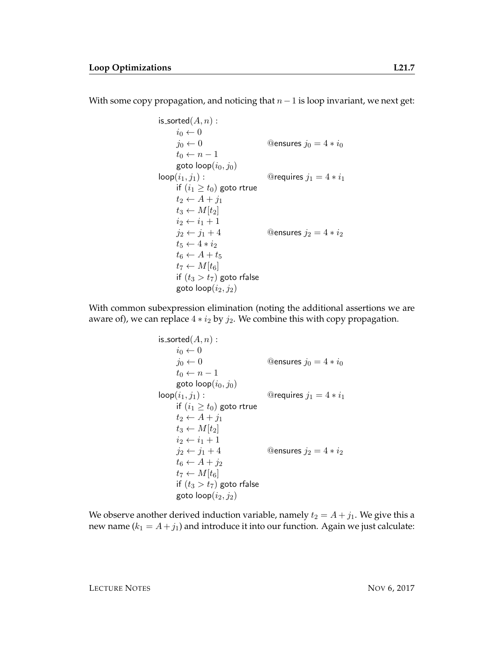With some copy propagation, and noticing that  $n-1$  is loop invariant, we next get:

```
is_sorted(A, n) :
     i_0 \leftarrow 0j_0 \leftarrow 0 @ensures j_0 = 4 * i_0t_0 \leftarrow n-1goto loop(i_0, j_0)loop(i_1, j_1): @requires j_1 = 4 * i_1if (i_1 \geq t_0) goto rtrue
     t_2 \leftarrow A + j_1t_3 \leftarrow M[t_2]i_2 \leftarrow i_1 + 1j_2 \leftarrow j_1 + 4 @ensures j_2 = 4 * i_2t_5 \leftarrow 4*i_2t_6 \leftarrow A + t_5t_7 \leftarrow M[t_6]if (t_3 > t_7) goto rfalse
     goto loop(i_2, j_2)
```
With common subexpression elimination (noting the additional assertions we are aware of), we can replace  $4 * i_2$  by  $j_2$ . We combine this with copy propagation.

```
is_sorted(A, n) :
     i_0 \leftarrow 0j_0 \leftarrow 0 @ensures j_0 = 4 * i_0t_0 \leftarrow n-1goto loop(i_0, j_0)\text{loop}(i_1, j_1): @requires j_1 = 4 * i_1if (i_1 \geq t_0) goto rtrue
     t_2 \leftarrow A + j_1t_3 \leftarrow M[t_2]i_2 \leftarrow i_1 + 1j_2 \leftarrow j_1 + 4 @ensures j_2 = 4 * i_2t_6 \leftarrow A + j_2t_7 \leftarrow M[t_6]if (t_3 > t_7) goto rfalse
     goto \textsf{loop}(i_2, j_2)
```
We observe another derived induction variable, namely  $t_2 = A + j_1$ . We give this a new name  $(k_1 = A + j_1)$  and introduce it into our function. Again we just calculate: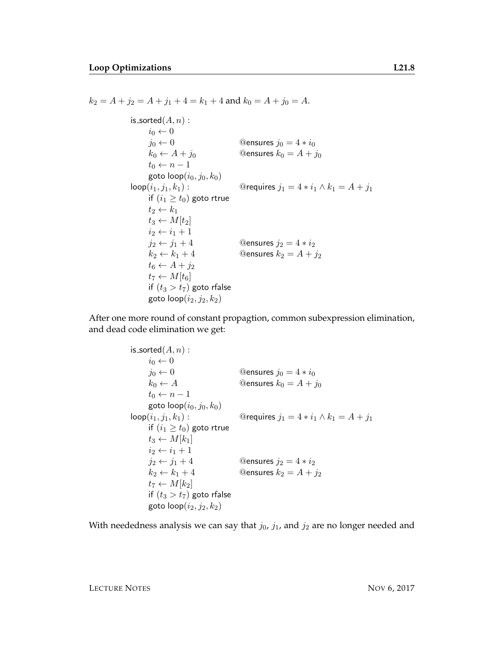is\_sorted $(A, n)$  :  $i_0 \leftarrow 0$  $j_0 \leftarrow 0$  @ensures  $j_0 = 4 * i_0$  $k_0 \leftarrow A + j_0$  @ensures  $k_0 = A + j_0$  $t_0 \leftarrow n-1$ goto  $\mathsf{loop}(i_0, j_0, k_0)$  $\text{loop}(i_1, j_1, k_1):$  @requires  $j_1 = 4 * i_1 \wedge k_1 = A + j_1$ if  $(i_1 \geq t_0)$  goto rtrue  $t_2 \leftarrow k_1$  $t_3 \leftarrow M[t_2]$  $i_2 \leftarrow i_1 + 1$  $j_2 \leftarrow j_1 + 4$  @ensures  $j_2 = 4 * i_2$  $k_2 \leftarrow k_1 + 4$  @ensures  $k_2 = A + j_2$  $t_6 \leftarrow A + j_2$  $t_7 \leftarrow M[t_6]$ if  $(t_3 > t_7)$  goto rfalse goto  $\textsf{loop}(i_2, j_2, k_2)$ 

 $k_2 = A + j_2 = A + j_1 + 4 = k_1 + 4$  and  $k_0 = A + j_0 = A$ .

After one more round of constant propagtion, common subexpression elimination, and dead code elimination we get:

```
is_sorted(A, n):
     i_0 \leftarrow 0j_0 \leftarrow 0 @ensures j_0 = 4 * i_0k_0 \leftarrow A @ensures k_0 = A + j_0t_0 \leftarrow n-1goto \text{loop}(i_0, j_0, k_0)loop(i_1, j_1, k_1): @requires j_1 = 4 * i_1 \wedge k_1 = A + j_1if (i_1 \geq t_0) goto rtrue
     t_3 \leftarrow M[k_1]i_2 \leftarrow i_1 + 1j_2 \leftarrow j_1 + 4 @ensures j_2 = 4 * i_2k_2 \leftarrow k_1 + 4 @ensures k_2 = A + j_2t_7 \leftarrow M[k_2]if (t_3 > t_7) goto rfalse
     goto loop(i_2, j_2, k_2)
```
With neededness analysis we can say that  $j_0$ ,  $j_1$ , and  $j_2$  are no longer needed and

LECTURE NOTES NOW 6, 2017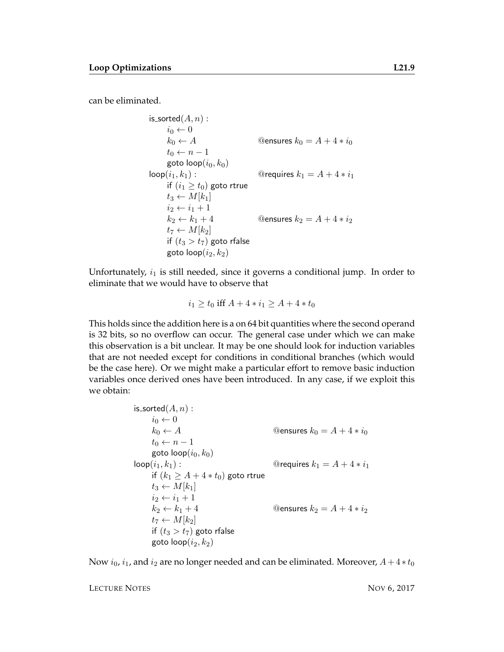can be eliminated.

is\_sorted(A, n):  
\n
$$
i_0 \leftarrow 0
$$
  
\n $k_0 \leftarrow A$    
\n $t_0 \leftarrow n - 1$   
\ngoto loop( $i_0, k_0$ )  
\nloop( $i_1, k_1$ ):   
\nif ( $i_1 \geq t_0$ ) goto true  
\n $t_3 \leftarrow M[k_1]$   
\n $i_2 \leftarrow i_1 + 1$   
\n $k_2 \leftarrow k_1 + 4$    
\n $t_7 \leftarrow M[k_2]$   
\nif ( $t_3 > t_7$ ) goto fralse  
\ngoto loop( $i_2, k_2$ )

Unfortunately,  $i_1$  is still needed, since it governs a conditional jump. In order to eliminate that we would have to observe that

$$
i_1 \ge t_0 \text{ iff } A + 4 \times i_1 \ge A + 4 \times t_0
$$

This holds since the addition here is a on 64 bit quantities where the second operand is 32 bits, so no overflow can occur. The general case under which we can make this observation is a bit unclear. It may be one should look for induction variables that are not needed except for conditions in conditional branches (which would be the case here). Or we might make a particular effort to remove basic induction variables once derived ones have been introduced. In any case, if we exploit this we obtain:

> is\_sorted $(A, n)$ :  $i_0 \leftarrow 0$  $k_0 \leftarrow A$  @ensures  $k_0 = A + 4 * i_0$  $t_0 \leftarrow n-1$ goto  $loop(i_0, k_0)$  $\text{loop}(i_1, k_1):$  @requires  $k_1 = A + 4 * i_1$ if  $(k_1 \geq A + 4 * t_0)$  goto rtrue  $t_3 \leftarrow M[k_1]$  $i_2 \leftarrow i_1 + 1$  $k_2 \leftarrow k_1 + 4$  @ensures  $k_2 = A + 4 * i_2$  $t_7 \leftarrow M[k_2]$ if  $(t_3 > t_7)$  goto rfalse goto  $loop(i_2, k_2)$

Now  $i_0$ ,  $i_1$ , and  $i_2$  are no longer needed and can be eliminated. Moreover,  $A + 4 * t_0$ 

LECTURE NOTES NOW 6, 2017